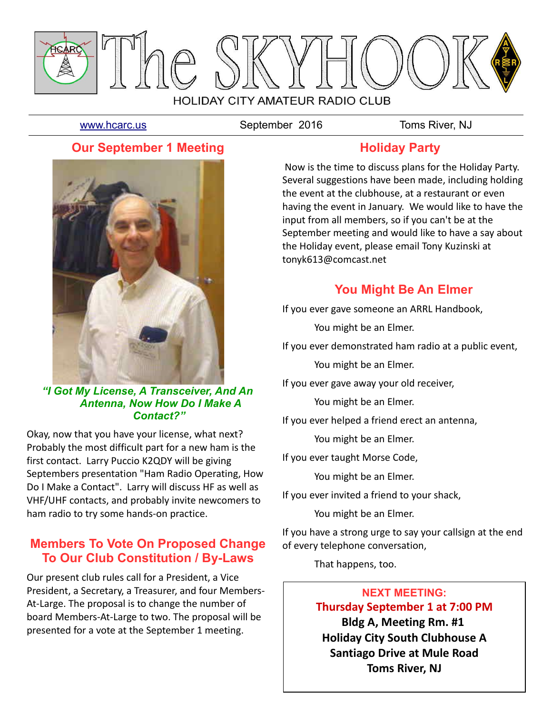

[www.hcarc.us](http://www.hcarc.us/) September 2016 Toms River, NJ

# **Our September 1 Meeting**



#### *"I Got My License, A Transceiver, And An Antenna, Now How Do I Make A Contact?"*

Okay, now that you have your license, what next? Probably the most difficult part for a new ham is the first contact. Larry Puccio K2QDY will be giving Septembers presentation "Ham Radio Operating, How Do I Make a Contact". Larry will discuss HF as well as VHF/UHF contacts, and probably invite newcomers to ham radio to try some hands-on practice.

# **Members To Vote On Proposed Change To Our Club Constitution / By-Laws**

Our present club rules call for a President, a Vice President, a Secretary, a Treasurer, and four Members-At-Large. The proposal is to change the number of board Members-At-Large to two. The proposal will be presented for a vote at the September 1 meeting.

# **Holiday Party**

 Now is the time to discuss plans for the Holiday Party. Several suggestions have been made, including holding the event at the clubhouse, at a restaurant or even having the event in January. We would like to have the input from all members, so if you can't be at the September meeting and would like to have a say about the Holiday event, please email Tony Kuzinski at tonyk613@comcast.net

# **You Might Be An Elmer**

If you ever gave someone an ARRL Handbook,

You might be an Elmer.

If you ever demonstrated ham radio at a public event,

You might be an Elmer.

If you ever gave away your old receiver,

You might be an Elmer.

If you ever helped a friend erect an antenna,

You might be an Elmer.

If you ever taught Morse Code,

You might be an Elmer.

If you ever invited a friend to your shack,

You might be an Elmer.

If you have a strong urge to say your callsign at the end of every telephone conversation,

That happens, too.

#### **NEXT MEETING:**

**Thursday September 1 at 7:00 PM Bldg A, Meeting Rm. #1 Holiday City South Clubhouse A Santiago Drive at Mule Road Toms River, NJ**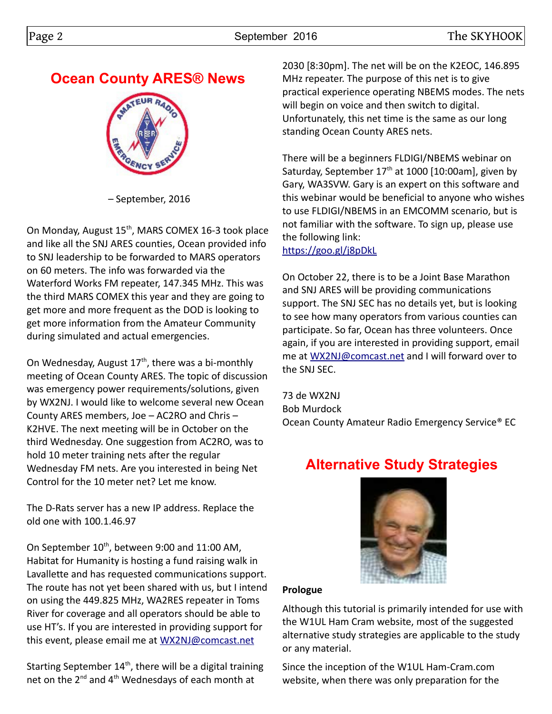#### Page 2 **September 2016** September 2016

# **Ocean County ARES® News**



– September, 2016

On Monday, August 15<sup>th</sup>, MARS COMEX 16-3 took place and like all the SNJ ARES counties, Ocean provided info to SNJ leadership to be forwarded to MARS operators on 60 meters. The info was forwarded via the Waterford Works FM repeater, 147.345 MHz. This was the third MARS COMEX this year and they are going to get more and more frequent as the DOD is looking to get more information from the Amateur Community during simulated and actual emergencies.

On Wednesday, August  $17<sup>th</sup>$ , there was a bi-monthly meeting of Ocean County ARES. The topic of discussion was emergency power requirements/solutions, given by WX2NJ. I would like to welcome several new Ocean County ARES members, Joe – AC2RO and Chris – K2HVE. The next meeting will be in October on the third Wednesday. One suggestion from AC2RO, was to hold 10 meter training nets after the regular Wednesday FM nets. Are you interested in being Net Control for the 10 meter net? Let me know.

The D-Rats server has a new IP address. Replace the old one with 100.1.46.97

On September 10<sup>th</sup>, between 9:00 and 11:00 AM, Habitat for Humanity is hosting a fund raising walk in Lavallette and has requested communications support. The route has not yet been shared with us, but I intend on using the 449.825 MHz, WA2RES repeater in Toms River for coverage and all operators should be able to use HT's. If you are interested in providing support for this event, please email me at [WX2NJ@comcast.net](mailto:WX2NJ@comcast.net)

Starting September  $14<sup>th</sup>$ , there will be a digital training net on the 2<sup>nd</sup> and 4<sup>th</sup> Wednesdays of each month at

2030 [8:30pm]. The net will be on the K2EOC, 146.895 MHz repeater. The purpose of this net is to give practical experience operating NBEMS modes. The nets will begin on voice and then switch to digital. Unfortunately, this net time is the same as our long standing Ocean County ARES nets.

There will be a beginners FLDIGI/NBEMS webinar on Saturday, September 17<sup>th</sup> at 1000 [10:00am], given by Gary, WA3SVW. Gary is an expert on this software and this webinar would be beneficial to anyone who wishes to use FLDIGI/NBEMS in an EMCOMM scenario, but is not familiar with the software. To sign up, please use the following link:

<https://goo.gl/j8pDkL>

On October 22, there is to be a Joint Base Marathon and SNJ ARES will be providing communications support. The SNJ SEC has no details yet, but is looking to see how many operators from various counties can participate. So far, Ocean has three volunteers. Once again, if you are interested in providing support, email me at [WX2NJ@comcast.net](mailto:WX2NJ@comcast.net) and I will forward over to the SNJ SEC.

73 de WX2NJ Bob Murdock Ocean County Amateur Radio Emergency Service® EC

# **Alternative Study Strategies**



#### **Prologue**

Although this tutorial is primarily intended for use with the W1UL Ham Cram website, most of the suggested alternative study strategies are applicable to the study or any material.

Since the inception of the W1UL Ham-Cram.com website, when there was only preparation for the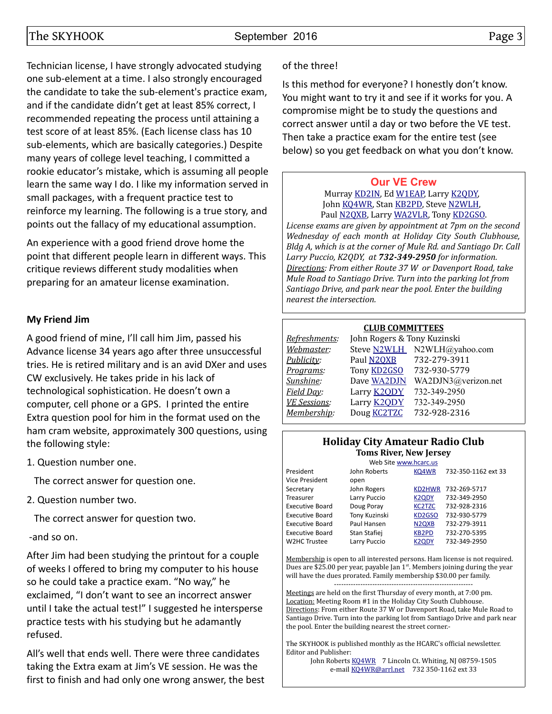Technician license, I have strongly advocated studying one sub-element at a time. I also strongly encouraged the candidate to take the sub-element's practice exam, and if the candidate didn't get at least 85% correct, I recommended repeating the process until attaining a test score of at least 85%. (Each license class has 10 sub-elements, which are basically categories.) Despite many years of college level teaching, I committed a rookie educator's mistake, which is assuming all people learn the same way I do. I like my information served in small packages, with a frequent practice test to reinforce my learning. The following is a true story, and points out the fallacy of my educational assumption.

An experience with a good friend drove home the point that different people learn in different ways. This critique reviews different study modalities when preparing for an amateur license examination.

#### **My Friend Jim**

A good friend of mine, I'll call him Jim, passed his Advance license 34 years ago after three unsuccessful tries. He is retired military and is an avid DXer and uses CW exclusively. He takes pride in his lack of technological sophistication. He doesn't own a computer, cell phone or a GPS. I printed the entire Extra question pool for him in the format used on the ham cram website, approximately 300 questions, using the following style:

1. Question number one.

The correct answer for question one.

2. Question number two.

The correct answer for question two.

-and so on.

After Jim had been studying the printout for a couple of weeks I offered to bring my computer to his house so he could take a practice exam. "No way," he exclaimed, "I don't want to see an incorrect answer until I take the actual test!" I suggested he intersperse practice tests with his studying but he adamantly refused.

All's well that ends well. There were three candidates taking the Extra exam at Jim's VE session. He was the first to finish and had only one wrong answer, the best

### of the three!

Is this method for everyone? I honestly don't know. You might want to try it and see if it works for you. A compromise might be to study the questions and correct answer until a day or two before the VE test. Then take a practice exam for the entire test (see below) so you get feedback on what you don't know.

#### **[Our VE Crew](mailto:lpuccio1@comcast.net?subject=VE)**

Murray [KD2IN,](mailto:MurrayKD2IN@comcast.net) Ed [W1EAP,](mailto:epicciuti@hotmail.com) Larry [K2QDY,](mailto:lpuccio1@comcast.net) John [KQ4WR,](mailto:kq4wr@arrl.net) Stan [KB2PD,](mailto:kb2pd@hotmail.com) Steve [N2WLH,](mailto:n2wlh@yahoo.com) Paul [N2QXB,](mailto:n2qxb@juno.com) Larry [WA2VLR,](mailto:lloscalz@optonline.net) Tony [KD2GSO.](mailto:tonyk613@verizon.net)

*License exams are given by appointment at 7pm on the second Wednesday of each month at Holiday City South Clubhouse, Bldg A, which is at the corner of Mule Rd. and Santiago Dr. Call Larry Puccio, K2QDY, at 732-349-2950 for information. Directions: From either Route 37 W or Davenport Road, take Mule Road to Santiago Drive. Turn into the parking lot from Santiago Drive, and park near the pool. Enter the building nearest the intersection.*

#### **CLUB COMMITTEES**

| Refreshments:       | John Rogers & Tony Kuzinski |                             |  |  |  |  |
|---------------------|-----------------------------|-----------------------------|--|--|--|--|
| Webmaster:          |                             | Steve N2WLH N2WLH@yahoo.com |  |  |  |  |
| Publicity:          | Paul N2QXB                  | 732-279-3911                |  |  |  |  |
| Programs:           | Tony <b>KD2GSO</b>          | 732-930-5779                |  |  |  |  |
| Sunshine:           | Dave WA2DJN                 | WA2DJN3@verizon.net         |  |  |  |  |
| Field Day:          | Larry <b>K2QDY</b>          | 732-349-2950                |  |  |  |  |
| <b>VE Sessions:</b> | Larry <b>K2ODY</b>          | 732-349-2950                |  |  |  |  |
| Membership:         | Doug <b>KC2TZC</b>          | 732-928-2316                |  |  |  |  |
|                     |                             |                             |  |  |  |  |

#### **Holiday City Amateur Radio Club Toms River, New Jersey**

|                        | Web Site www.hcarc.us |                                |                     |
|------------------------|-----------------------|--------------------------------|---------------------|
| President              | John Roberts          | KQ4WR                          | 732-350-1162 ext 33 |
| <b>Vice President</b>  | open                  |                                |                     |
| Secretary              | John Rogers           | KD2HWR                         | 732-269-5717        |
| Treasurer              | Larry Puccio          | <b>K2QDY</b>                   | 732-349-2950        |
| <b>Executive Board</b> | Doug Poray            | <b>KC2TZC</b>                  | 732-928-2316        |
| <b>Executive Board</b> | Tony Kuzinski         | KD <sub>2</sub> GSO            | 732-930-5779        |
| <b>Executive Board</b> | Paul Hansen           | N <sub>2Q</sub> X <sub>B</sub> | 732-279-3911        |
| <b>Executive Board</b> | Stan Stafiej          | <b>KB2PD</b>                   | 732-270-5395        |
| W2HC Trustee           | Larry Puccio          | <b>K2QDY</b>                   | 732-349-2950        |
|                        |                       |                                |                     |

Membership is open to all interested persons. Ham license is not required. Dues are \$25.00 per year, payable Jan 1<sup>st</sup>. Members joining during the year will have the dues prorated. Family membership \$30.00 per family. ----------------------------------------------------------

Meetings are held on the first Thursday of every month, at 7:00 pm. Location: Meeting Room #1 in the Holiday City South Clubhouse. Directions: From either Route 37 W or Davenport Road, take Mule Road to Santiago Drive. Turn into the parking lot from Santiago Drive and park near the pool. Enter the building nearest the street corner.-

The SKYHOOK is published monthly as the HCARC's official newsletter. Editor and Publisher:

John Roberts [KQ4WR](mailto:kq4wr@arrl.net) 7 Lincoln Ct. Whiting, NJ 08759-1505 e-mail [KQ4WR@arrl.net](mailto:KQ4WR@arrl.net) 732 350-1162 ext 33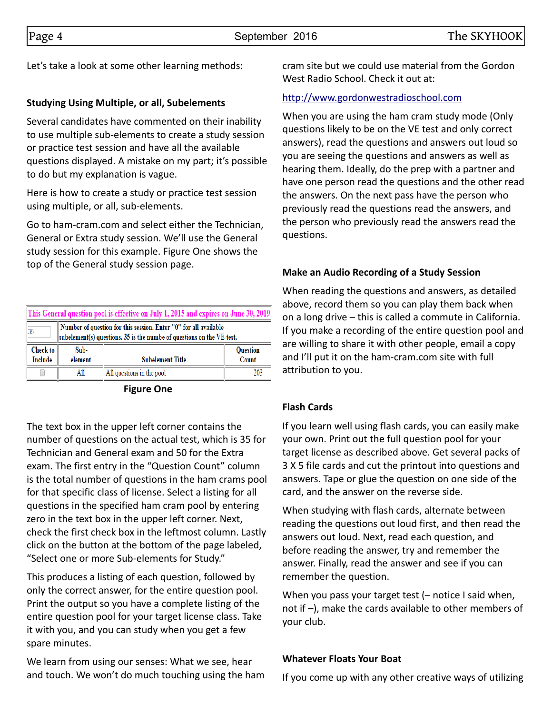Let's take a look at some other learning methods:

#### **Studying Using Multiple, or all, Subelements**

Several candidates have commented on their inability to use multiple sub-elements to create a study session or practice test session and have all the available questions displayed. A mistake on my part; it's possible to do but my explanation is vague.

Here is how to create a study or practice test session using multiple, or all, sub-elements.

Go to ham-cram.com and select either the Technician, General or Extra study session. We'll use the General study session for this example. Figure One shows the top of the General study session page.

| This General question pool is effective on July 1, 2015 and expires on June 30, 2019                                                            |                                                                        |                           |     |  |  |  |
|-------------------------------------------------------------------------------------------------------------------------------------------------|------------------------------------------------------------------------|---------------------------|-----|--|--|--|
| Number of question for this session. Enter "0" for all available<br>35<br>subelement(s) questions. 35 is the numbe of questions on the VE test. |                                                                        |                           |     |  |  |  |
| Check to<br>Include                                                                                                                             | Sub-<br><b>Question</b><br>Count<br>element<br><b>Subelement Title</b> |                           |     |  |  |  |
|                                                                                                                                                 | All                                                                    | All questions in the pool | 203 |  |  |  |

**Figure One**

The text box in the upper left corner contains the number of questions on the actual test, which is 35 for Technician and General exam and 50 for the Extra exam. The first entry in the "Question Count" column is the total number of questions in the ham crams pool for that specific class of license. Select a listing for all questions in the specified ham cram pool by entering zero in the text box in the upper left corner. Next, check the first check box in the leftmost column. Lastly click on the button at the bottom of the page labeled, "Select one or more Sub-elements for Study."

This produces a listing of each question, followed by only the correct answer, for the entire question pool. Print the output so you have a complete listing of the entire question pool for your target license class. Take it with you, and you can study when you get a few spare minutes.

We learn from using our senses: What we see, hear and touch. We won't do much touching using the ham cram site but we could use material from the Gordon West Radio School. Check it out at:

#### [http://www.gordonwestradioschool.com](http://www.gordonwestradioschool.com/)

When you are using the ham cram study mode (Only questions likely to be on the VE test and only correct answers), read the questions and answers out loud so you are seeing the questions and answers as well as hearing them. Ideally, do the prep with a partner and have one person read the questions and the other read the answers. On the next pass have the person who previously read the questions read the answers, and the person who previously read the answers read the questions.

#### **Make an Audio Recording of a Study Session**

When reading the questions and answers, as detailed above, record them so you can play them back when on a long drive – this is called a commute in California. If you make a recording of the entire question pool and are willing to share it with other people, email a copy and I'll put it on the ham-cram.com site with full attribution to you.

#### **Flash Cards**

If you learn well using flash cards, you can easily make your own. Print out the full question pool for your target license as described above. Get several packs of 3 X 5 file cards and cut the printout into questions and answers. Tape or glue the question on one side of the card, and the answer on the reverse side.

When studying with flash cards, alternate between reading the questions out loud first, and then read the answers out loud. Next, read each question, and before reading the answer, try and remember the answer. Finally, read the answer and see if you can remember the question.

When you pass your target test (– notice I said when, not if –), make the cards available to other members of your club.

#### **Whatever Floats Your Boat**

If you come up with any other creative ways of utilizing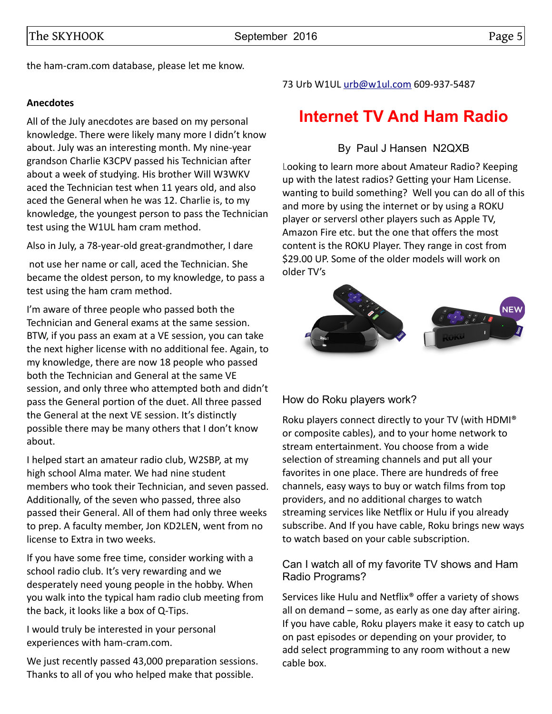The SKYHOOK September 2016 Contract to the SKYHOOK Rage 5

the ham-cram.com database, please let me know.

#### **Anecdotes**

All of the July anecdotes are based on my personal knowledge. There were likely many more I didn't know about. July was an interesting month. My nine-year grandson Charlie K3CPV passed his Technician after about a week of studying. His brother Will W3WKV aced the Technician test when 11 years old, and also aced the General when he was 12. Charlie is, to my knowledge, the youngest person to pass the Technician test using the W1UL ham cram method.

Also in July, a 78-year-old great-grandmother, I dare

 not use her name or call, aced the Technician. She became the oldest person, to my knowledge, to pass a test using the ham cram method.

I'm aware of three people who passed both the Technician and General exams at the same session. BTW, if you pass an exam at a VE session, you can take the next higher license with no additional fee. Again, to my knowledge, there are now 18 people who passed both the Technician and General at the same VE session, and only three who attempted both and didn't pass the General portion of the duet. All three passed the General at the next VE session. It's distinctly possible there may be many others that I don't know about.

I helped start an amateur radio club, W2SBP, at my high school Alma mater. We had nine student members who took their Technician, and seven passed. Additionally, of the seven who passed, three also passed their General. All of them had only three weeks to prep. A faculty member, Jon KD2LEN, went from no license to Extra in two weeks.

If you have some free time, consider working with a school radio club. It's very rewarding and we desperately need young people in the hobby. When you walk into the typical ham radio club meeting from the back, it looks like a box of Q-Tips.

I would truly be interested in your personal experiences with ham-cram.com.

We just recently passed 43,000 preparation sessions. Thanks to all of you who helped make that possible.

#### 73 Urb W1UL [urb@w1ul.com](mailto:urb@w1ul.com) 609-937-5487

# **Internet TV And Ham Radio**

### By Paul J Hansen N2QXB

Looking to learn more about Amateur Radio? Keeping up with the latest radios? Getting your Ham License. wanting to build something? Well you can do all of this and more by using the internet or by using a ROKU player or serversl other players such as Apple TV, Amazon Fire etc. but the one that offers the most content is the ROKU Player. They range in cost from \$29.00 UP. Some of the older models will work on older TV's



### How do Roku players work?

Roku players connect directly to your TV (with HDMI® or composite cables), and to your home network to stream entertainment. You choose from a wide selection of streaming channels and put all your favorites in one place. There are hundreds of free channels, easy ways to buy or watch films from top providers, and no additional charges to watch streaming services like Netflix or Hulu if you already subscribe. And If you have cable, Roku brings new ways to watch based on your cable subscription.

#### Can I watch all of my favorite TV shows and Ham Radio Programs?

Services like Hulu and Netflix® offer a variety of shows all on demand – some, as early as one day after airing. If you have cable, Roku players make it easy to catch up on past episodes or depending on your provider, to add select programming to any room without a new cable box.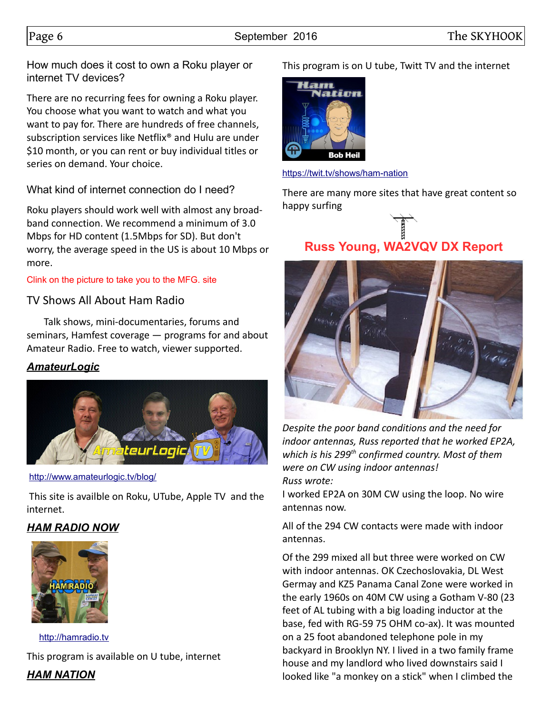How much does it cost to own a Roku player or internet TV devices?

There are no recurring fees for owning a Roku player. You choose what you want to watch and what you want to pay for. There are hundreds of free channels, subscription services like Netflix® and Hulu are under \$10 month, or you can rent or buy individual titles or series on demand. Your choice.

What kind of internet connection do I need?

Roku players should work well with almost any broadband connection. We recommend a minimum of 3.0 Mbps for HD content (1.5Mbps for SD). But don't worry, the average speed in the US is about 10 Mbps or more.

#### Clink on the picture to take you to the MFG. site

## TV Shows All About Ham Radio

 Talk shows, mini-documentaries, forums and seminars, Hamfest coverage — programs for and about Amateur Radio. Free to watch, viewer supported.

## *AmateurLogic*



#### <http://www.amateurlogic.tv/blog/>

 This site is availble on Roku, UTube, Apple TV and the internet.

## *HAM RADIO NOW*



 [http://hamradio.tv](http://hamradio.tv/) This program is available on U tube, internet

*HAM NATION*

This program is on U tube, Twitt TV and the internet



<https://twit.tv/shows/ham-nation>

There are many more sites that have great content so happy surfing

# **Russ Young, WA2VQV DX Report**



*Despite the poor band conditions and the need for indoor antennas, Russ reported that he worked EP2A, which is his 299th confirmed country. Most of them were on CW using indoor antennas! Russ wrote:*

I worked EP2A on 30M CW using the loop. No wire antennas now.

All of the 294 CW contacts were made with indoor antennas.

Of the 299 mixed all but three were worked on CW with indoor antennas. OK Czechoslovakia, DL West Germay and KZ5 Panama Canal Zone were worked in the early 1960s on 40M CW using a Gotham V-80 (23 feet of AL tubing with a big loading inductor at the base, fed with RG-59 75 OHM co-ax). It was mounted on a 25 foot abandoned telephone pole in my backyard in Brooklyn NY. I lived in a two family frame house and my landlord who lived downstairs said I looked like "a monkey on a stick" when I climbed the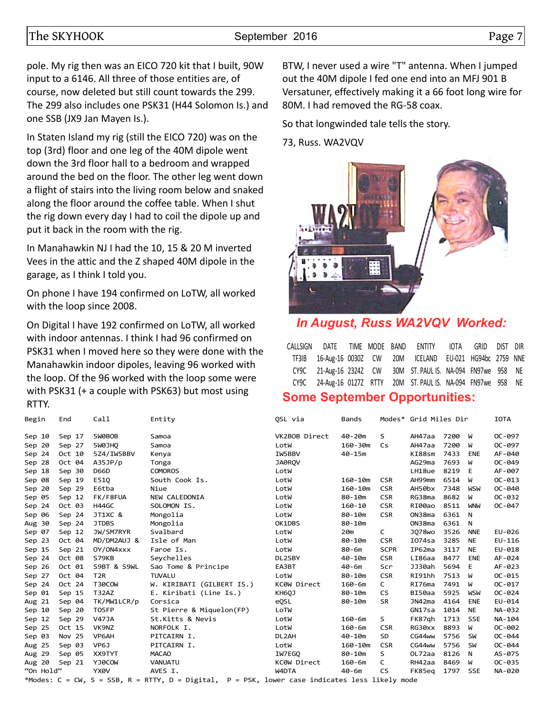#### The SKYHOOK September 2016 Contract Page 7

pole. My rig then was an EICO 720 kit that I built, 90W input to a 6146. All three of those entities are, of course, now deleted but still count towards the 299. The 299 also includes one PSK31 (H44 Solomon Is.) and one SSB (JX9 Jan Mayen Is.).

In Staten Island my rig (still the EICO 720) was on the top (3rd) floor and one leg of the 40M dipole went down the 3rd floor hall to a bedroom and wrapped around the bed on the floor. The other leg went down a flight of stairs into the living room below and snaked along the floor around the coffee table. When I shut the rig down every day I had to coil the dipole up and put it back in the room with the rig.

In Manahawkin NJ I had the 10, 15 & 20 M inverted Vees in the attic and the Z shaped 40M dipole in the garage, as I think I told you.

On phone I have 194 confirmed on LoTW, all worked with the loop since 2008.

On Digital I have 192 confirmed on LoTW, all worked with indoor antennas. I think I had 96 confirmed on PSK31 when I moved here so they were done with the Manahawkin indoor dipoles, leaving 96 worked with the loop. Of the 96 worked with the loop some were with PSK31 (+ a couple with PSK63) but most using RTTY.

BTW, I never used a wire "T" antenna. When I jumped out the 40M dipole I fed one end into an MFJ 901 B Versatuner, effectively making it a 66 foot long wire for 80M. I had removed the RG-58 coax.

So that longwinded tale tells the story.

73, Russ. WA2VQV



## *In August, Russ WA2VQV Worked:*

|  |  |  |  | CALLSIGN DATE TIME—MODE—BAND ENTITY IOTA GRID DIST DIR<br>TF3IB 16-Aug-16 0030Z CW 20M ICELAND EU-021 HG94bc 2759 NNE<br>CY9C 21-Aug-16 2324Z CW 30M ST. PAUL IS. NA-094 FN97we 958 NE<br>CY9C 24-Aug-16 0127Z RTTY 20M ST. PAUL IS. NA-094 FN97we 958 NE |
|--|--|--|--|-----------------------------------------------------------------------------------------------------------------------------------------------------------------------------------------------------------------------------------------------------------|

## **Some September Opportunities:**

| Begin     | End                                                                                            |  | Call            | Entity                    | OSL via            | Bands       |             | Modes* Grid Miles Dir |      |            | <b>IOTA</b> |
|-----------|------------------------------------------------------------------------------------------------|--|-----------------|---------------------------|--------------------|-------------|-------------|-----------------------|------|------------|-------------|
| Sep 10    | Sep 17                                                                                         |  | 5WOBOB          | Samoa                     | VK2BOB Direct      | $40 - 20m$  | S           | AH47aa                | 7200 | ีฟ         | $OC - 097$  |
| Sep 20    | Sep 27                                                                                         |  | 5WOJHQ          | Samoa                     | LotW               | $160 - 30m$ | Cs          | AH47aa                | 7200 | W          | $OC - 097$  |
| Sep 24    | Oct 10                                                                                         |  | 5Z4/IW5BBV      | Kenya                     | IW5BBV             | $40 - 15m$  |             | KI88sm                | 7433 | <b>ENE</b> | AF-040      |
| Sep 28    | Oct 04                                                                                         |  | A35JP/p         | Tonga                     | JA0ROV             |             |             | AG29ma                | 7693 | W          | $OC - 049$  |
| Sep 18    | Sep 30                                                                                         |  | <b>D66D</b>     | <b>COMOROS</b>            | LotW               |             |             | LH18ue                | 8219 | E          | AF-007      |
| Sep 08    | Sep 19                                                                                         |  | E510            | South Cook Is.            | LotW               | $160 - 10m$ | <b>CSR</b>  | AH99mm                | 6514 | W          | $OC - 013$  |
| Sep 20    | Sep 29                                                                                         |  | E6tba           | Niue                      | LotW               | $160 - 10m$ | <b>CSR</b>  | AH50bx                | 7348 | <b>WSW</b> | OC-040      |
| Sep 05    | Sep 12                                                                                         |  | FK/F8FUA        | NEW CALEDONIA             | LotW               | $80 - 10m$  | <b>CSR</b>  | RG38ma                | 8682 | W          | $OC - 032$  |
| Sep 24    | Oct 03                                                                                         |  | H44GC           | SOLOMON IS.               | LotW               | $160 - 10$  | <b>CSR</b>  | RI00ao                | 8511 | <b>WNW</b> | $OC - 047$  |
| Sep 06    | Sep 24                                                                                         |  | JT1XC &         | Mongolia                  | LotW               | $80 - 10m$  | <b>CSR</b>  | ON38ma                | 6361 | N          |             |
| Aug 30    | Sep 24                                                                                         |  | <b>JTDBS</b>    | Mongolia                  | OK1DBS             | $80 - 10m$  |             | ON38ma                | 6361 | N          |             |
| Sep 07    | Sep 12                                                                                         |  | JW/SM7RYR       | Svalbard                  | LotW               | 20m         | C           | J078 <sub>wo</sub>    | 3526 | <b>NNE</b> | EU-026      |
| Sep 23    | Oct 04                                                                                         |  | MD/DM2AUJ &     | Isle of Man               | LotW               | 80-10m      | <b>CSR</b>  | I074sa                | 3285 | <b>NE</b>  | $EU-116$    |
| Sep 15    | Sep 21                                                                                         |  | OY/ON4xxx       | Faroe Is.                 | LotW               | 80-6m       | <b>SCPR</b> | IP62ma                | 3117 | <b>NE</b>  | EU-018      |
| Sep 24    | Oct 08                                                                                         |  | S79KB           | Seychelles                | DL2SBY             | $40 - 10m$  | <b>CSR</b>  | LI86aa                | 8477 | <b>ENE</b> | AF-024      |
| Sep 26    | Oct 01                                                                                         |  | S9BT & S9WL     | Sao Tome & Principe       | EA3BT              | 40-6m       | Scr         | JJ30ah                | 5694 | Е          | AF-023      |
| Sep 27    | Oct 04                                                                                         |  | T <sub>2R</sub> | <b>TUVALU</b>             | LotW               | $80 - 10m$  | <b>CSR</b>  | RI91hh                | 7513 | W          | $OC - 015$  |
| Sep 24    | Oct 24                                                                                         |  | T30COW          | W. KIRIBATI (GILBERT IS.) | KC0W Direct        | $160 - 6m$  | C           | RI76ma                | 7491 | W          | $OC - 017$  |
| Sep 01    | Sep 15                                                                                         |  | T32AZ           | E. Kiribati (Line Is.)    | KH6QJ              | $80 - 10m$  | CS.         | BI50aa                | 5925 | <b>WSW</b> | $OC - 024$  |
| Aug 21    | Sep 04                                                                                         |  | TK/MW1LCR/p     | Corsica                   | eQSL               | $80 - 10m$  | SR          | JN42ma                | 4164 | ENE        | EU-014      |
| Sep 10    | Sep 20                                                                                         |  | T05FP           | St Pierre & Miquelon(FP)  | LoTW               |             |             | GN17sa                | 1014 | <b>NE</b>  | NA-032      |
| Sep 12    | Sep 29                                                                                         |  | <b>V47JA</b>    | St.Kitts & Nevis          | LotW               | $160 - 6m$  | S           | FK87gh                | 1713 | <b>SSE</b> | NA-104      |
| Sep 25    | Oct 15                                                                                         |  | VK9NZ           | NORFOLK I.                | LotW               | $160 - 6m$  | <b>CSR</b>  | RG30xx                | 8893 | W          | OC-002      |
| Sep 03    | Nov 25                                                                                         |  | VP6AH           | PITCAIRN I.               | DL <sub>2</sub> AH | $40 - 10m$  | SD.         | CG44ww                | 5756 | SW         | $OC - 044$  |
| Aug 25    | Sep 03                                                                                         |  | VP6J            | PITCAIRN I.               | LotW               | $160 - 10m$ | <b>CSR</b>  | CG44ww                | 5756 | <b>SW</b>  | $OC - 044$  |
| Aug 29    | Sep 05                                                                                         |  | XX9TYT          | <b>MACAO</b>              | IW7EGO             | $80 - 10m$  | S           | OL72aa                | 8126 | N          | AS-075      |
| Aug 20    | Sep 21                                                                                         |  | YJ0COW          | <b>VANUATU</b>            | KC0W Direct        | $160 - 6m$  | C           | RH42aa                | 8469 | W          | $OC - 035$  |
| "On Hold" |                                                                                                |  | YX0V            | AVES I.                   | W4DTA              | 40-6m       | CS.         | FK85eq                | 1797 | <b>SSE</b> | NA-020      |
|           | *Modes: C = CW, S = SSB, R = RTTY, D = Digital, P = PSK, lower case indicates less likely mode |  |                 |                           |                    |             |             |                       |      |            |             |